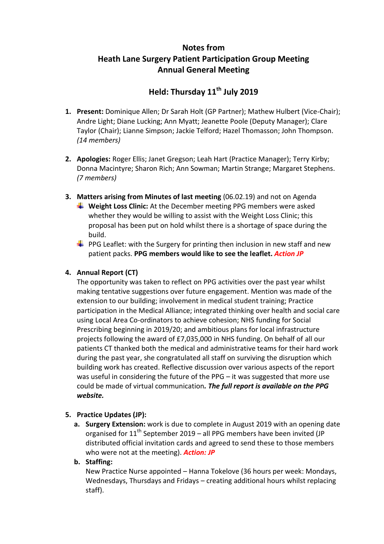# **Notes from Heath Lane Surgery Patient Participation Group Meeting Annual General Meeting**

# **Held: Thursday 11th July 2019**

- **1. Present:** Dominique Allen; Dr Sarah Holt (GP Partner); Mathew Hulbert (Vice-Chair); Andre Light; Diane Lucking; Ann Myatt; Jeanette Poole (Deputy Manager); Clare Taylor (Chair); Lianne Simpson; Jackie Telford; Hazel Thomasson; John Thompson. *(14 members)*
- **2. Apologies:** Roger Ellis; Janet Gregson; Leah Hart (Practice Manager); Terry Kirby; Donna Macintyre; Sharon Rich; Ann Sowman; Martin Strange; Margaret Stephens. *(7 members)*
- **3. Matters arising from Minutes of last meeting** (06.02.19) and not on Agenda ↓ Weight Loss Clinic: At the December meeting PPG members were asked whether they would be willing to assist with the Weight Loss Clinic; this proposal has been put on hold whilst there is a shortage of space during the build.
	- $\downarrow$  PPG Leaflet: with the Surgery for printing then inclusion in new staff and new patient packs. **PPG members would like to see the leaflet.** *Action JP*

# **4. Annual Report (CT)**

The opportunity was taken to reflect on PPG activities over the past year whilst making tentative suggestions over future engagement. Mention was made of the extension to our building; involvement in medical student training; Practice participation in the Medical Alliance; integrated thinking over health and social care using Local Area Co-ordinators to achieve cohesion; NHS funding for Social Prescribing beginning in 2019/20; and ambitious plans for local infrastructure projects following the award of £7,035,000 in NHS funding. On behalf of all our patients CT thanked both the medical and administrative teams for their hard work during the past year, she congratulated all staff on surviving the disruption which building work has created. Reflective discussion over various aspects of the report was useful in considering the future of the PPG – it was suggested that more use could be made of virtual communication*. The full report is available on the PPG website.*

# **5. Practice Updates (JP):**

**a. Surgery Extension:** work is due to complete in August 2019 with an opening date organised for  $11^{th}$  September 2019 – all PPG members have been invited (JP distributed official invitation cards and agreed to send these to those members who were not at the meeting). *Action: JP*

# **b. Staffing:**

New Practice Nurse appointed – Hanna Tokelove (36 hours per week: Mondays, Wednesdays, Thursdays and Fridays – creating additional hours whilst replacing staff).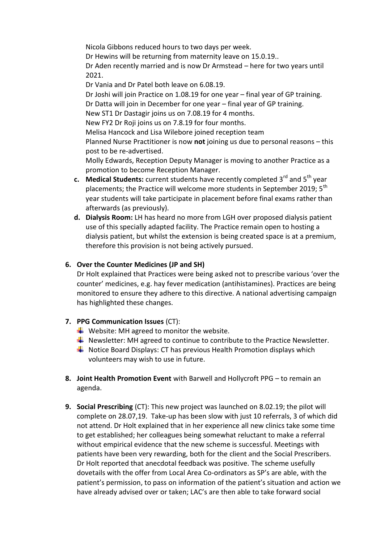Nicola Gibbons reduced hours to two days per week. Dr Hewins will be returning from maternity leave on 15.0.19.. Dr Aden recently married and is now Dr Armstead – here for two years until 2021. Dr Vania and Dr Patel both leave on 6.08.19. Dr Joshi will join Practice on 1.08.19 for one year – final year of GP training. Dr Datta will join in December for one year – final year of GP training. New ST1 Dr Dastagir joins us on 7.08.19 for 4 months. New FY2 Dr Roji joins us on 7.8.19 for four months. Melisa Hancock and Lisa Wilebore joined reception team Planned Nurse Practitioner is now **not** joining us due to personal reasons – this post to be re-advertised. Molly Edwards, Reception Deputy Manager is moving to another Practice as a

- promotion to become Reception Manager. **c.** Medical Students: current students have recently completed 3<sup>rd</sup> and 5<sup>th</sup> vear placements; the Practice will welcome more students in September 2019: 5<sup>th</sup> year students will take participate in placement before final exams rather than afterwards (as previously).
- **d. Dialysis Room:** LH has heard no more from LGH over proposed dialysis patient use of this specially adapted facility. The Practice remain open to hosting a dialysis patient, but whilst the extension is being created space is at a premium, therefore this provision is not being actively pursued.

# **6. Over the Counter Medicines (JP and SH)**

Dr Holt explained that Practices were being asked not to prescribe various 'over the counter' medicines, e.g. hay fever medication (antihistamines). Practices are being monitored to ensure they adhere to this directive. A national advertising campaign has highlighted these changes.

- **7. PPG Communication Issues** (CT):
	- $\bigstar$  Website: MH agreed to monitor the website.
	- $\downarrow$  Newsletter: MH agreed to continue to contribute to the Practice Newsletter.
	- $\downarrow$  Notice Board Displays: CT has previous Health Promotion displays which volunteers may wish to use in future.
- **8. Joint Health Promotion Event** with Barwell and Hollycroft PPG to remain an agenda.
- **9. Social Prescribing** (CT): This new project was launched on 8.02.19; the pilot will complete on 28.07,19. Take-up has been slow with just 10 referrals, 3 of which did not attend. Dr Holt explained that in her experience all new clinics take some time to get established; her colleagues being somewhat reluctant to make a referral without empirical evidence that the new scheme is successful. Meetings with patients have been very rewarding, both for the client and the Social Prescribers. Dr Holt reported that anecdotal feedback was positive. The scheme usefully dovetails with the offer from Local Area Co-ordinators as SP's are able, with the patient's permission, to pass on information of the patient's situation and action we have already advised over or taken; LAC's are then able to take forward social